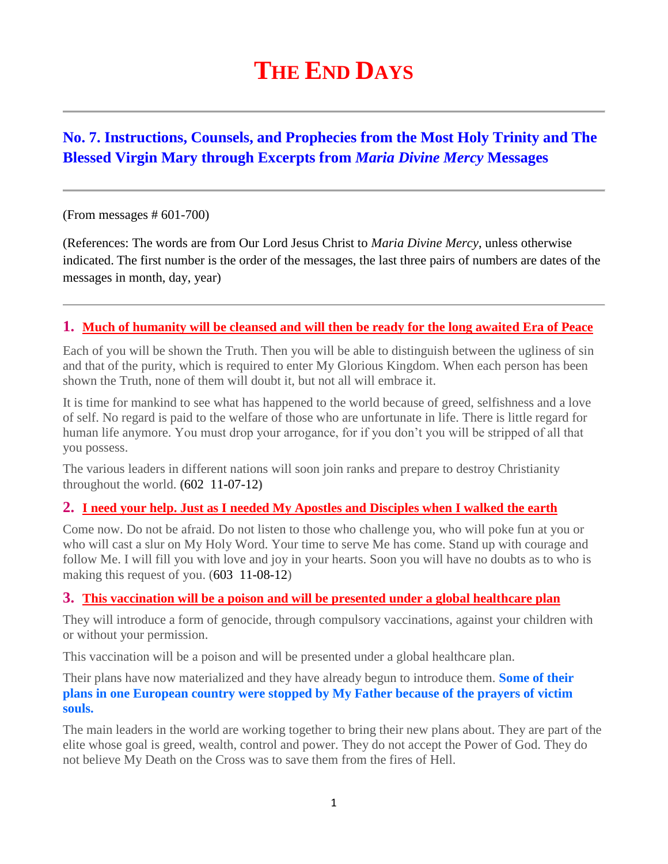# **THE END DAYS**

## **No. 7. Instructions, Counsels, and Prophecies from the Most Holy Trinity and The Blessed Virgin Mary through Excerpts from** *Maria Divine Mercy* **Messages**

#### (From messages # 601-700)

(References: The words are from Our Lord Jesus Christ to *Maria Divine Mercy*, unless otherwise indicated. The first number is the order of the messages, the last three pairs of numbers are dates of the messages in month, day, year)

#### **1. [Much of humanity will be cleansed and will then be ready for the long awaited Era of Peace](http://www.thewarningsecondcoming.com/much-of-humanity-will-be-cleansed-and-will-then-be-ready-for-the-long-awaited-era-of-peace/)**

Each of you will be shown the Truth. Then you will be able to distinguish between the ugliness of sin and that of the purity, which is required to enter My Glorious Kingdom. When each person has been shown the Truth, none of them will doubt it, but not all will embrace it.

It is time for mankind to see what has happened to the world because of greed, selfishness and a love of self. No regard is paid to the welfare of those who are unfortunate in life. There is little regard for human life anymore. You must drop your arrogance, for if you don't you will be stripped of all that you possess.

The various leaders in different nations will soon join ranks and prepare to destroy Christianity throughout the world. **(**602 11-07-12**)**

#### **2. [I need your help. Just as I needed My Apostles and Disciples when I walked the earth](http://www.thewarningsecondcoming.com/i-need-your-help-just-as-i-needed-my-apostles-and-disciples-when-i-walked-the-earth-2/)**

Come now. Do not be afraid. Do not listen to those who challenge you, who will poke fun at you or who will cast a slur on My Holy Word. Your time to serve Me has come. Stand up with courage and follow Me. I will fill you with love and joy in your hearts. Soon you will have no doubts as to who is making this request of you. (603 11-08-12)

#### **3. [This vaccination will be a poison and will be presented under a global healthcare plan](http://www.thewarningsecondcoming.com/this-vaccination-will-be-a-poison-and-will-be-presented-under-a-global-healthcare-plan/)**

They will introduce a form of genocide, through compulsory vaccinations, against your children with or without your permission.

This vaccination will be a poison and will be presented under a global healthcare plan.

Their plans have now materialized and they have already begun to introduce them. **Some of their plans in one European country were stopped by My Father because of the prayers of victim souls.** 

The main leaders in the world are working together to bring their new plans about. They are part of the elite whose goal is greed, wealth, control and power. They do not accept the Power of God. They do not believe My Death on the Cross was to save them from the fires of Hell.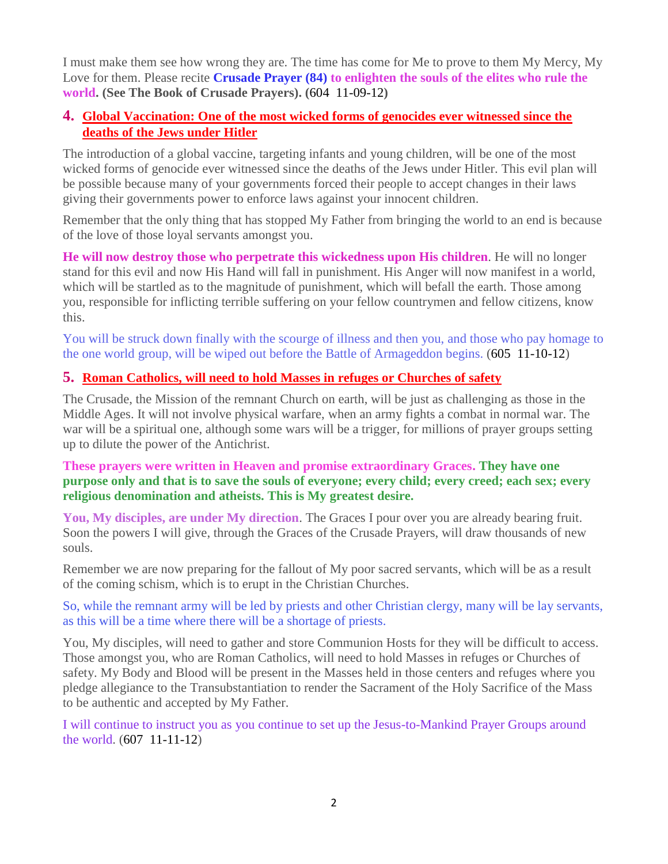I must make them see how wrong they are. The time has come for Me to prove to them My Mercy, My Love for them. Please recite **Crusade Prayer (84) to enlighten the souls of the elites who rule the world. (See The Book of Crusade Prayers). (**604 11-09-12**)**

#### **4. [Global Vaccination: One of the most wicked forms of genocides ever witnessed since the](http://www.thewarningsecondcoming.com/global-vaccination-one-of-the-most-wicked-forms-of-genocides-ever-witnessed-since-the-deaths-of-the-jews-under-hitler/)  [deaths of the Jews under Hitler](http://www.thewarningsecondcoming.com/global-vaccination-one-of-the-most-wicked-forms-of-genocides-ever-witnessed-since-the-deaths-of-the-jews-under-hitler/)**

The introduction of a global vaccine, targeting infants and young children, will be one of the most wicked forms of genocide ever witnessed since the deaths of the Jews under Hitler. This evil plan will be possible because many of your governments forced their people to accept changes in their laws giving their governments power to enforce laws against your innocent children.

Remember that the only thing that has stopped My Father from bringing the world to an end is because of the love of those loyal servants amongst you.

**He will now destroy those who perpetrate this wickedness upon His children**. He will no longer stand for this evil and now His Hand will fall in punishment. His Anger will now manifest in a world, which will be startled as to the magnitude of punishment, which will befall the earth. Those among you, responsible for inflicting terrible suffering on your fellow countrymen and fellow citizens, know this.

You will be struck down finally with the scourge of illness and then you, and those who pay homage to the one world group, will be wiped out before the Battle of Armageddon begins. (605 11-10-12)

#### **5. [Roman Catholics, will need to hold Masses in refuges or Churches of safety](http://www.thewarningsecondcoming.com/roman-catholics-will-need-to-hold-masses-in-refuges-or-churches-of-safety/)**

The Crusade, the Mission of the remnant Church on earth, will be just as challenging as those in the Middle Ages. It will not involve physical warfare, when an army fights a combat in normal war. The war will be a spiritual one, although some wars will be a trigger, for millions of prayer groups setting up to dilute the power of the Antichrist.

#### **These prayers were written in Heaven and promise extraordinary Graces. They have one purpose only and that is to save the souls of everyone; every child; every creed; each sex; every religious denomination and atheists. This is My greatest desire.**

**You, My disciples, are under My direction**. The Graces I pour over you are already bearing fruit. Soon the powers I will give, through the Graces of the Crusade Prayers, will draw thousands of new souls.

Remember we are now preparing for the fallout of My poor sacred servants, which will be as a result of the coming schism, which is to erupt in the Christian Churches.

#### So, while the remnant army will be led by priests and other Christian clergy, many will be lay servants, as this will be a time where there will be a shortage of priests.

You, My disciples, will need to gather and store Communion Hosts for they will be difficult to access. Those amongst you, who are Roman Catholics, will need to hold Masses in refuges or Churches of safety. My Body and Blood will be present in the Masses held in those centers and refuges where you pledge allegiance to the Transubstantiation to render the Sacrament of the Holy Sacrifice of the Mass to be authentic and accepted by My Father.

I will continue to instruct you as you continue to set up the Jesus-to-Mankind Prayer Groups around the world. (607 11-11-12)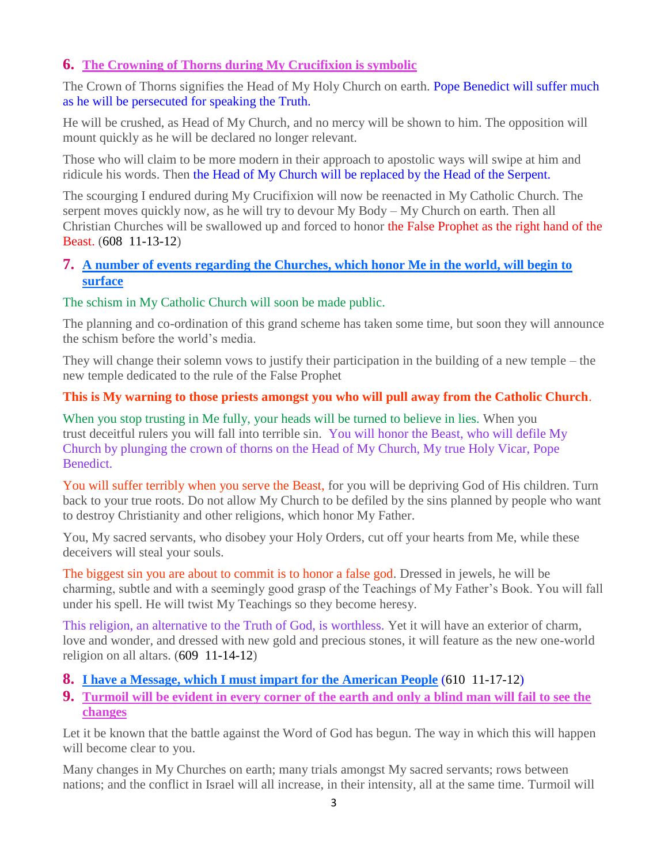## **6. [The Crowning of Thorns during My Crucifixion is symbolic](http://www.thewarningsecondcoming.com/the-crowning-of-thorns-during-my-crucifixion-is-symbolic/)**

The Crown of Thorns signifies the Head of My Holy Church on earth. Pope Benedict will suffer much as he will be persecuted for speaking the Truth.

He will be crushed, as Head of My Church, and no mercy will be shown to him. The opposition will mount quickly as he will be declared no longer relevant.

Those who will claim to be more modern in their approach to apostolic ways will swipe at him and ridicule his words. Then the Head of My Church will be replaced by the Head of the Serpent.

The scourging I endured during My Crucifixion will now be reenacted in My Catholic Church. The serpent moves quickly now, as he will try to devour My Body – My Church on earth. Then all Christian Churches will be swallowed up and forced to honor the False Prophet as the right hand of the Beast. (608 11-13-12)

#### **7. [A number of events regarding the Churches, which honor Me in the world, will begin to](http://www.thewarningsecondcoming.com/a-number-of-events-regarding-the-churches-which-honor-me-in-the-world-will-begin-to-surface/)  [surface](http://www.thewarningsecondcoming.com/a-number-of-events-regarding-the-churches-which-honor-me-in-the-world-will-begin-to-surface/)**

#### The schism in My Catholic Church will soon be made public.

The planning and co-ordination of this grand scheme has taken some time, but soon they will announce the schism before the world's media.

They will change their solemn vows to justify their participation in the building of a new temple – the new temple dedicated to the rule of the False Prophet

## **This is My warning to those priests amongst you who will pull away from the Catholic Church**.

When you stop trusting in Me fully, your heads will be turned to believe in lies. When you trust deceitful rulers you will fall into terrible sin. You will honor the Beast, who will defile My Church by plunging the crown of thorns on the Head of My Church, My true Holy Vicar, Pope Benedict.

You will suffer terribly when you serve the Beast, for you will be depriving God of His children. Turn back to your true roots. Do not allow My Church to be defiled by the sins planned by people who want to destroy Christianity and other religions, which honor My Father.

You, My sacred servants, who disobey your Holy Orders, cut off your hearts from Me, while these deceivers will steal your souls.

The biggest sin you are about to commit is to honor a false god. Dressed in jewels, he will be charming, subtle and with a seemingly good grasp of the Teachings of My Father's Book. You will fall under his spell. He will twist My Teachings so they become heresy.

This religion, an alternative to the Truth of God, is worthless. Yet it will have an exterior of charm, love and wonder, and dressed with new gold and precious stones, it will feature as the new one-world religion on all altars.  $(609 \t11-14-12)$ 

## **8. [I have a Message, which I must impart for the American People](http://www.thewarningsecondcoming.com/i-have-a-message-which-i-must-impart-for-the-american-people/)** (610 11-17-12)

**9. [Turmoil will be evident in every corner of the earth and only a blind man will fail to see the](http://www.thewarningsecondcoming.com/turmoil-will-be-evident-in-every-corner-of-the-earth-and-only-a-blind-man-will-fail-to-see-the-changes/)  [changes](http://www.thewarningsecondcoming.com/turmoil-will-be-evident-in-every-corner-of-the-earth-and-only-a-blind-man-will-fail-to-see-the-changes/)**

Let it be known that the battle against the Word of God has begun. The way in which this will happen will become clear to you.

Many changes in My Churches on earth; many trials amongst My sacred servants; rows between nations; and the conflict in Israel will all increase, in their intensity, all at the same time. Turmoil will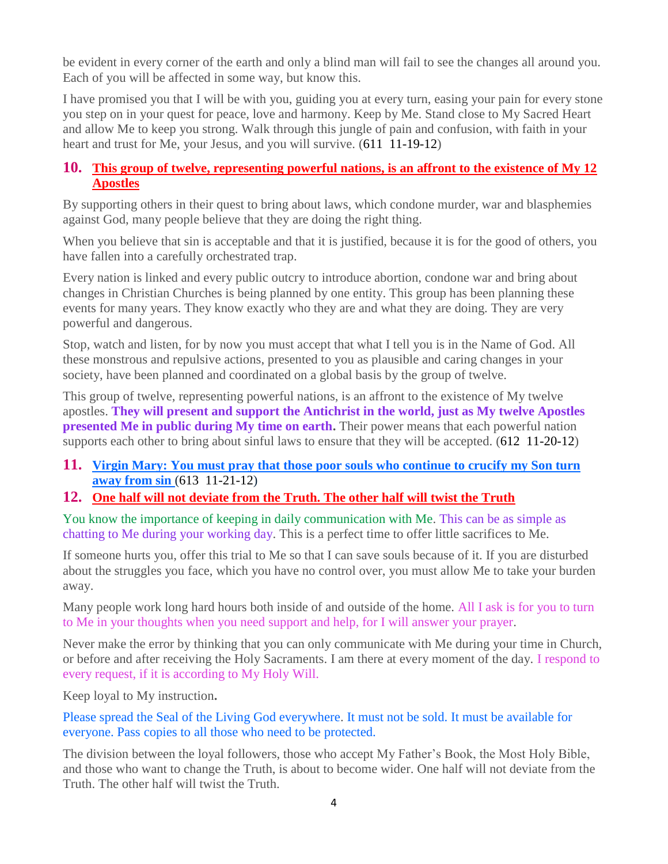be evident in every corner of the earth and only a blind man will fail to see the changes all around you. Each of you will be affected in some way, but know this.

I have promised you that I will be with you, guiding you at every turn, easing your pain for every stone you step on in your quest for peace, love and harmony. Keep by Me. Stand close to My Sacred Heart and allow Me to keep you strong. Walk through this jungle of pain and confusion, with faith in your heart and trust for Me, your Jesus, and you will survive. (611 11-19-12)

#### **10. [This group of twelve, representing powerful nations, is an affront to the existence of My 12](http://www.thewarningsecondcoming.com/this-group-of-twelve-representing-powerful-nations-is-an-affront-to-the-existence-of-my-12-apostles/)  [Apostles](http://www.thewarningsecondcoming.com/this-group-of-twelve-representing-powerful-nations-is-an-affront-to-the-existence-of-my-12-apostles/)**

By supporting others in their quest to bring about laws, which condone murder, war and blasphemies against God, many people believe that they are doing the right thing.

When you believe that sin is acceptable and that it is justified, because it is for the good of others, you have fallen into a carefully orchestrated trap.

Every nation is linked and every public outcry to introduce abortion, condone war and bring about changes in Christian Churches is being planned by one entity. This group has been planning these events for many years. They know exactly who they are and what they are doing. They are very powerful and dangerous.

Stop, watch and listen, for by now you must accept that what I tell you is in the Name of God. All these monstrous and repulsive actions, presented to you as plausible and caring changes in your society, have been planned and coordinated on a global basis by the group of twelve.

This group of twelve, representing powerful nations, is an affront to the existence of My twelve apostles. **They will present and support the Antichrist in the world, just as My twelve Apostles presented Me in public during My time on earth.** Their power means that each powerful nation supports each other to bring about sinful laws to ensure that they will be accepted. (612 11-20-12)

**11. [Virgin Mary: You must pray that those poor souls who continue to crucify my Son turn](http://www.thewarningsecondcoming.com/virgin-mary-you-must-pray-that-those-poor-souls-who-continue-to-crucify-my-son-turn-away-from-sin/)  [away from sin](http://www.thewarningsecondcoming.com/virgin-mary-you-must-pray-that-those-poor-souls-who-continue-to-crucify-my-son-turn-away-from-sin/)** (613 11-21-12)

## **12. [One half will not deviate from the Truth. The other half will twist the Truth](http://www.thewarningsecondcoming.com/one-half-will-not-deviate-from-the-truth-the-other-halve-will-twist-the-truth/)**

You know the importance of keeping in daily communication with Me. This can be as simple as chatting to Me during your working day. This is a perfect time to offer little sacrifices to Me.

If someone hurts you, offer this trial to Me so that I can save souls because of it. If you are disturbed about the struggles you face, which you have no control over, you must allow Me to take your burden away.

Many people work long hard hours both inside of and outside of the home. All I ask is for you to turn to Me in your thoughts when you need support and help, for I will answer your prayer.

Never make the error by thinking that you can only communicate with Me during your time in Church, or before and after receiving the Holy Sacraments. I am there at every moment of the day. I respond to every request, if it is according to My Holy Will.

Keep loyal to My instruction**.**

Please spread the Seal of the Living God everywhere. It must not be sold. It must be available for everyone. Pass copies to all those who need to be protected.

The division between the loyal followers, those who accept My Father's Book, the Most Holy Bible, and those who want to change the Truth, is about to become wider. One half will not deviate from the Truth. The other half will twist the Truth.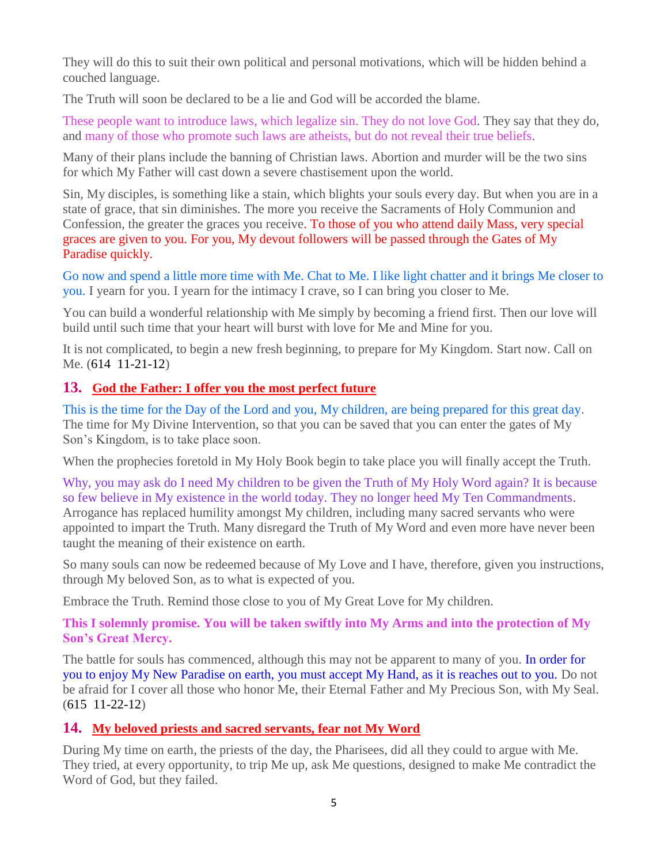They will do this to suit their own political and personal motivations, which will be hidden behind a couched language.

The Truth will soon be declared to be a lie and God will be accorded the blame.

These people want to introduce laws, which legalize sin. They do not love God. They say that they do, and many of those who promote such laws are atheists, but do not reveal their true beliefs.

Many of their plans include the banning of Christian laws. Abortion and murder will be the two sins for which My Father will cast down a severe chastisement upon the world.

Sin, My disciples, is something like a stain, which blights your souls every day. But when you are in a state of grace, that sin diminishes. The more you receive the Sacraments of Holy Communion and Confession, the greater the graces you receive. To those of you who attend daily Mass, very special graces are given to you. For you, My devout followers will be passed through the Gates of My Paradise quickly.

Go now and spend a little more time with Me. Chat to Me. I like light chatter and it brings Me closer to you. I yearn for you. I yearn for the intimacy I crave, so I can bring you closer to Me.

You can build a wonderful relationship with Me simply by becoming a friend first. Then our love will build until such time that your heart will burst with love for Me and Mine for you.

It is not complicated, to begin a new fresh beginning, to prepare for My Kingdom. Start now. Call on Me. (614 11-21-12)

## **13. [God the Father: I offer you the most perfect future](http://www.thewarningsecondcoming.com/god-the-father-i-offer-you-the-most-perfect-future/)**

This is the time for the Day of the Lord and you, My children, are being prepared for this great day. The time for My Divine Intervention, so that you can be saved that you can enter the gates of My Son's Kingdom, is to take place soon.

When the prophecies foretold in My Holy Book begin to take place you will finally accept the Truth.

Why, you may ask do I need My children to be given the Truth of My Holy Word again? It is because so few believe in My existence in the world today. They no longer heed My Ten Commandments. Arrogance has replaced humility amongst My children, including many sacred servants who were appointed to impart the Truth. Many disregard the Truth of My Word and even more have never been taught the meaning of their existence on earth.

So many souls can now be redeemed because of My Love and I have, therefore, given you instructions, through My beloved Son, as to what is expected of you.

Embrace the Truth. Remind those close to you of My Great Love for My children.

#### **This I solemnly promise. You will be taken swiftly into My Arms and into the protection of My Son's Great Mercy.**

The battle for souls has commenced, although this may not be apparent to many of you. In order for you to enjoy My New Paradise on earth, you must accept My Hand, as it is reaches out to you. Do not be afraid for I cover all those who honor Me, their Eternal Father and My Precious Son, with My Seal. (615 11-22-12)

## **14. [My beloved priests and sacred servants, fear not My Word](http://www.thewarningsecondcoming.com/my-beloved-priests-and-sacred-servants-fear-not-my-word/)**

During My time on earth, the priests of the day, the Pharisees, did all they could to argue with Me. They tried, at every opportunity, to trip Me up, ask Me questions, designed to make Me contradict the Word of God, but they failed.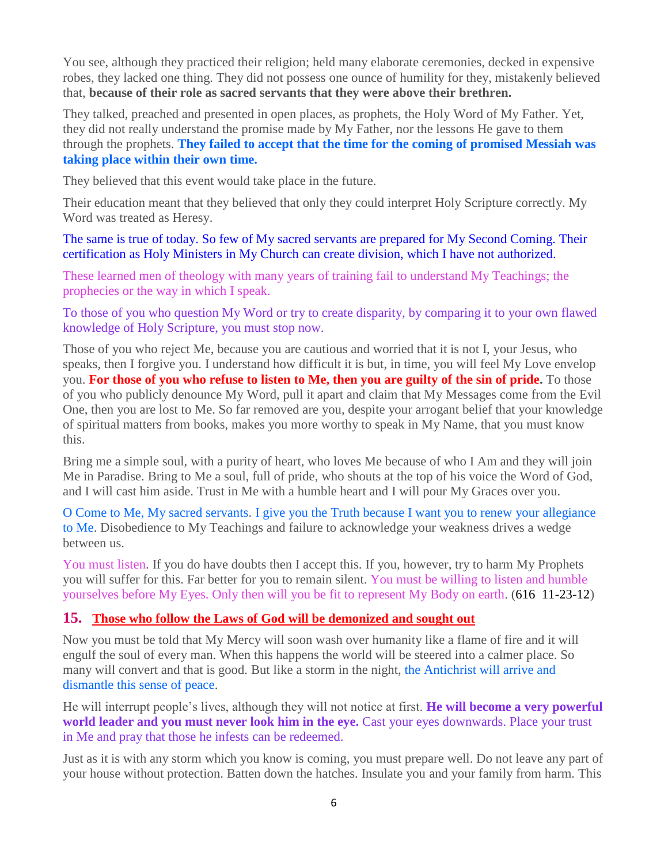You see, although they practiced their religion; held many elaborate ceremonies, decked in expensive robes, they lacked one thing. They did not possess one ounce of humility for they, mistakenly believed that, **because of their role as sacred servants that they were above their brethren.**

They talked, preached and presented in open places, as prophets, the Holy Word of My Father. Yet, they did not really understand the promise made by My Father, nor the lessons He gave to them through the prophets. **They failed to accept that the time for the coming of promised Messiah was taking place within their own time.**

They believed that this event would take place in the future.

Their education meant that they believed that only they could interpret Holy Scripture correctly. My Word was treated as Heresy.

The same is true of today. So few of My sacred servants are prepared for My Second Coming. Their certification as Holy Ministers in My Church can create division, which I have not authorized.

These learned men of theology with many years of training fail to understand My Teachings; the prophecies or the way in which I speak.

To those of you who question My Word or try to create disparity, by comparing it to your own flawed knowledge of Holy Scripture, you must stop now.

Those of you who reject Me, because you are cautious and worried that it is not I, your Jesus, who speaks, then I forgive you. I understand how difficult it is but, in time, you will feel My Love envelop you. **For those of you who refuse to listen to Me, then you are guilty of the sin of pride.** To those of you who publicly denounce My Word, pull it apart and claim that My Messages come from the Evil One, then you are lost to Me. So far removed are you, despite your arrogant belief that your knowledge of spiritual matters from books, makes you more worthy to speak in My Name, that you must know this.

Bring me a simple soul, with a purity of heart, who loves Me because of who I Am and they will join Me in Paradise. Bring to Me a soul, full of pride, who shouts at the top of his voice the Word of God, and I will cast him aside. Trust in Me with a humble heart and I will pour My Graces over you.

O Come to Me, My sacred servants. I give you the Truth because I want you to renew your allegiance to Me. Disobedience to My Teachings and failure to acknowledge your weakness drives a wedge between us.

You must listen. If you do have doubts then I accept this. If you, however, try to harm My Prophets you will suffer for this. Far better for you to remain silent. You must be willing to listen and humble yourselves before My Eyes. Only then will you be fit to represent My Body on earth. (616 11-23-12)

## **15. [Those who follow the Laws of God will be demonized and sought out](http://www.thewarningsecondcoming.com/those-who-follow-the-laws-of-god-will-be-demonised-and-sought-out/)**

Now you must be told that My Mercy will soon wash over humanity like a flame of fire and it will engulf the soul of every man. When this happens the world will be steered into a calmer place. So many will convert and that is good. But like a storm in the night, the Antichrist will arrive and dismantle this sense of peace.

He will interrupt people's lives, although they will not notice at first. **He will become a very powerful world leader and you must never look him in the eye.** Cast your eyes downwards. Place your trust in Me and pray that those he infests can be redeemed.

Just as it is with any storm which you know is coming, you must prepare well. Do not leave any part of your house without protection. Batten down the hatches. Insulate you and your family from harm. This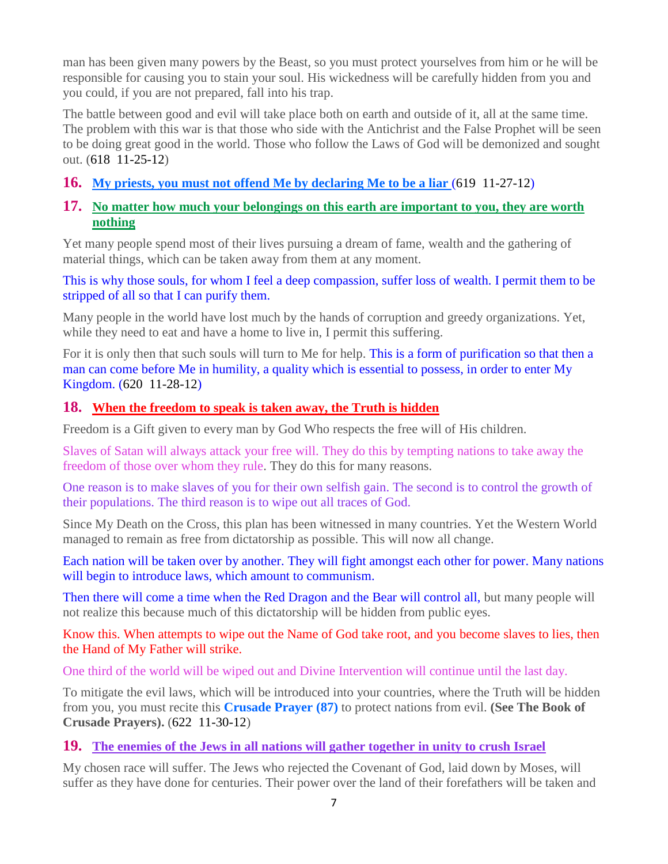man has been given many powers by the Beast, so you must protect yourselves from him or he will be responsible for causing you to stain your soul. His wickedness will be carefully hidden from you and you could, if you are not prepared, fall into his trap.

The battle between good and evil will take place both on earth and outside of it, all at the same time. The problem with this war is that those who side with the Antichrist and the False Prophet will be seen to be doing great good in the world. Those who follow the Laws of God will be demonized and sought out. (618 11-25-12)

## **16. [My priests, you must not offend Me by declaring Me to be a liar](http://www.thewarningsecondcoming.com/my-priests-you-must-not-offend-me-by-declaring-me-to-be-a-liar/)** (619 11-27-12)

#### **17. [No matter how much your belongings on this earth are important to you, they are worth](http://www.thewarningsecondcoming.com/no-matter-how-much-your-belongings-on-this-earth-are-important-to-you-they-are-worth-nothing/)  [nothing](http://www.thewarningsecondcoming.com/no-matter-how-much-your-belongings-on-this-earth-are-important-to-you-they-are-worth-nothing/)**

Yet many people spend most of their lives pursuing a dream of fame, wealth and the gathering of material things, which can be taken away from them at any moment.

This is why those souls, for whom I feel a deep compassion, suffer loss of wealth. I permit them to be stripped of all so that I can purify them.

Many people in the world have lost much by the hands of corruption and greedy organizations. Yet, while they need to eat and have a home to live in, I permit this suffering.

For it is only then that such souls will turn to Me for help. This is a form of purification so that then a man can come before Me in humility, a quality which is essential to possess, in order to enter My Kingdom. (620 11-28-12)

#### **18. [When the freedom to speak is taken away, the Truth is hidden](http://www.thewarningsecondcoming.com/when-the-freedom-to-speak-is-taken-away-the-truth-is-hidden/)**

Freedom is a Gift given to every man by God Who respects the free will of His children.

Slaves of Satan will always attack your free will. They do this by tempting nations to take away the freedom of those over whom they rule. They do this for many reasons.

One reason is to make slaves of you for their own selfish gain. The second is to control the growth of their populations. The third reason is to wipe out all traces of God.

Since My Death on the Cross, this plan has been witnessed in many countries. Yet the Western World managed to remain as free from dictatorship as possible. This will now all change.

Each nation will be taken over by another. They will fight amongst each other for power. Many nations will begin to introduce laws, which amount to communism.

Then there will come a time when the Red Dragon and the Bear will control all, but many people will not realize this because much of this dictatorship will be hidden from public eyes.

Know this. When attempts to wipe out the Name of God take root, and you become slaves to lies, then the Hand of My Father will strike.

One third of the world will be wiped out and Divine Intervention will continue until the last day.

To mitigate the evil laws, which will be introduced into your countries, where the Truth will be hidden from you, you must recite this **Crusade Prayer (87)** to protect nations from evil. **(See The Book of Crusade Prayers).** (622 11-30-12)

## **19. The enemies of the Jews in [all nations will gather together in unity to crush Israel](http://www.thewarningsecondcoming.com/the-enemies-of-the-jews-in-all-nations-will-gather-together-in-unity-to-crush-israel-2/)**

My chosen race will suffer. The Jews who rejected the Covenant of God, laid down by Moses, will suffer as they have done for centuries. Their power over the land of their forefathers will be taken and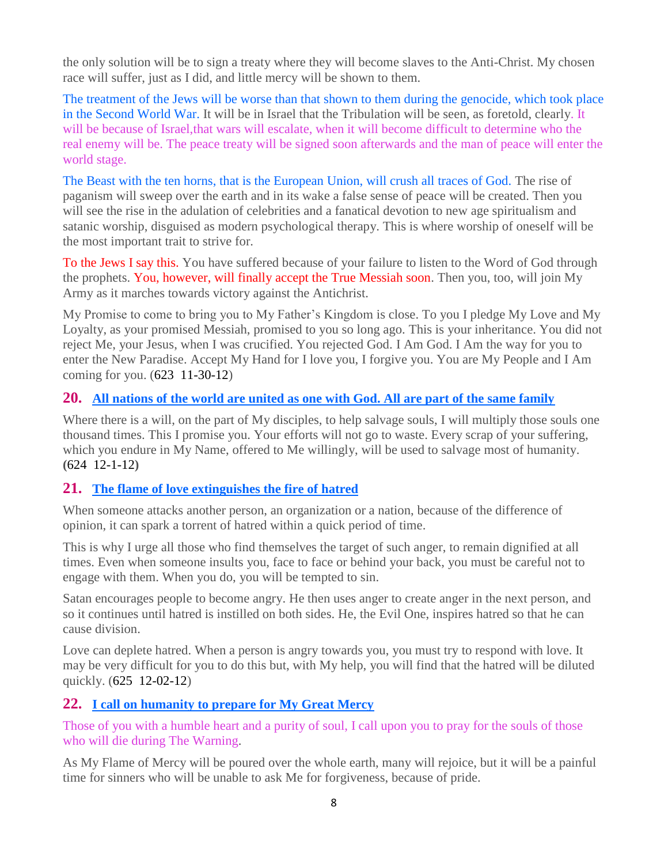the only solution will be to sign a treaty where they will become slaves to the Anti-Christ. My chosen race will suffer, just as I did, and little mercy will be shown to them.

The treatment of the Jews will be worse than that shown to them during the genocide, which took place in the Second World War. It will be in Israel that the Tribulation will be seen, as foretold, clearly. It will be because of Israel,that wars will escalate, when it will become difficult to determine who the real enemy will be. The peace treaty will be signed soon afterwards and the man of peace will enter the world stage.

The Beast with the ten horns, that is the European Union, will crush all traces of God. The rise of paganism will sweep over the earth and in its wake a false sense of peace will be created. Then you will see the rise in the adulation of celebrities and a fanatical devotion to new age spiritualism and satanic worship, disguised as modern psychological therapy. This is where worship of oneself will be the most important trait to strive for.

To the Jews I say this. You have suffered because of your failure to listen to the Word of God through the prophets. You, however, will finally accept the True Messiah soon. Then you, too, will join My Army as it marches towards victory against the Antichrist.

My Promise to come to bring you to My Father's Kingdom is close. To you I pledge My Love and My Loyalty, as your promised Messiah, promised to you so long ago. This is your inheritance. You did not reject Me, your Jesus, when I was crucified. You rejected God. I Am God. I Am the way for you to enter the New Paradise. Accept My Hand for I love you, I forgive you. You are My People and I Am coming for you. (623 11-30-12)

## **20. [All nations of the world are united as one with God. All are part of the same family](http://www.thewarningsecondcoming.com/all-nations-of-the-world-are-united-as-one-with-god-all-are-part-of-the-same-family/)**

Where there is a will, on the part of My disciples, to help salvage souls, I will multiply those souls one thousand times. This I promise you. Your efforts will not go to waste. Every scrap of your suffering, which you endure in My Name, offered to Me willingly, will be used to salvage most of humanity. **(**624 12-1-12**)**

## **21. [The flame of love extinguishes the fire of hatred](http://www.thewarningsecondcoming.com/the-flame-of-love-extinguishes-the-fire-of-hatred/)**

When someone attacks another person, an organization or a nation, because of the difference of opinion, it can spark a torrent of hatred within a quick period of time.

This is why I urge all those who find themselves the target of such anger, to remain dignified at all times. Even when someone insults you, face to face or behind your back, you must be careful not to engage with them. When you do, you will be tempted to sin.

Satan encourages people to become angry. He then uses anger to create anger in the next person, and so it continues until hatred is instilled on both sides. He, the Evil One, inspires hatred so that he can cause division.

Love can deplete hatred. When a person is angry towards you, you must try to respond with love. It may be very difficult for you to do this but, with My help, you will find that the hatred will be diluted quickly. (625 12-02-12)

## **22. [I call on humanity to prepare for My Great Mercy](http://www.thewarningsecondcoming.com/i-call-on-humanity-to-prepare-for-my-great-mercy/)**

Those of you with a humble heart and a purity of soul, I call upon you to pray for the souls of those who will die during The Warning.

As My Flame of Mercy will be poured over the whole earth, many will rejoice, but it will be a painful time for sinners who will be unable to ask Me for forgiveness, because of pride.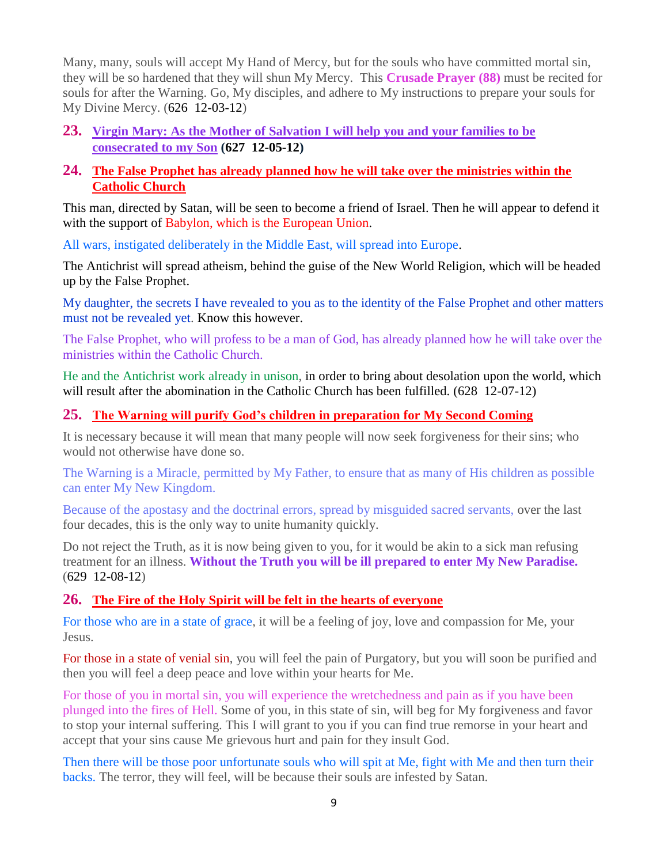Many, many, souls will accept My Hand of Mercy, but for the souls who have committed mortal sin, they will be so hardened that they will shun My Mercy. This **Crusade Prayer (88)** must be recited for souls for after the Warning. Go, My disciples, and adhere to My instructions to prepare your souls for My Divine Mercy. (626 12-03-12)

**23. [Virgin Mary: As the Mother of Salvation I will help you and your families to be](http://www.thewarningsecondcoming.com/virgin-mary-as-the-mother-of-salvation-i-will-help-you-and-your-families-to-be-consecrated-to-my-son/)  [consecrated to my Son](http://www.thewarningsecondcoming.com/virgin-mary-as-the-mother-of-salvation-i-will-help-you-and-your-families-to-be-consecrated-to-my-son/) (627 12-05-12)**

#### **24. [The False Prophet has already planned how he will take over the ministries within the](http://www.thewarningsecondcoming.com/the-false-prophet-has-already-planned-how-he-will-take-over-the-ministries-within-the-catholic-church/)  [Catholic Church](http://www.thewarningsecondcoming.com/the-false-prophet-has-already-planned-how-he-will-take-over-the-ministries-within-the-catholic-church/)**

This man, directed by Satan, will be seen to become a friend of Israel. Then he will appear to defend it with the support of Babylon, which is the European Union.

All wars, instigated deliberately in the Middle East, will spread into Europe.

The Antichrist will spread atheism, behind the guise of the New World Religion, which will be headed up by the False Prophet.

My daughter, the secrets I have revealed to you as to the identity of the False Prophet and other matters must not be revealed yet. Know this however.

The False Prophet, who will profess to be a man of God, has already planned how he will take over the ministries within the Catholic Church.

He and the Antichrist work already in unison, in order to bring about desolation upon the world, which will result after the abomination in the Catholic Church has been fulfilled. (628 12-07-12)

#### **25. [The Warning will purify God's children in preparation for My Second Coming](http://www.thewarningsecondcoming.com/the-warning-will-purify-gods-children-in-preparation-for-my-second-coming/)**

It is necessary because it will mean that many people will now seek forgiveness for their sins; who would not otherwise have done so.

The Warning is a Miracle, permitted by My Father, to ensure that as many of His children as possible can enter My New Kingdom.

Because of the apostasy and the doctrinal errors, spread by misguided sacred servants, over the last four decades, this is the only way to unite humanity quickly.

Do not reject the Truth, as it is now being given to you, for it would be akin to a sick man refusing treatment for an illness. **Without the Truth you will be ill prepared to enter My New Paradise.** (629 12-08-12)

#### **26. [The Fire of the Holy Spirit will be felt in the hearts of everyone](http://www.thewarningsecondcoming.com/the-fire-of-the-holy-spirit-will-be-felt-in-the-hearts-of-everyone/)**

For those who are in a state of grace, it will be a feeling of joy, love and compassion for Me, your Jesus.

For those in a state of venial sin, you will feel the pain of Purgatory, but you will soon be purified and then you will feel a deep peace and love within your hearts for Me.

For those of you in mortal sin, you will experience the wretchedness and pain as if you have been plunged into the fires of Hell. Some of you, in this state of sin, will beg for My forgiveness and favor to stop your internal suffering. This I will grant to you if you can find true remorse in your heart and accept that your sins cause Me grievous hurt and pain for they insult God.

Then there will be those poor unfortunate souls who will spit at Me, fight with Me and then turn their backs. The terror, they will feel, will be because their souls are infested by Satan.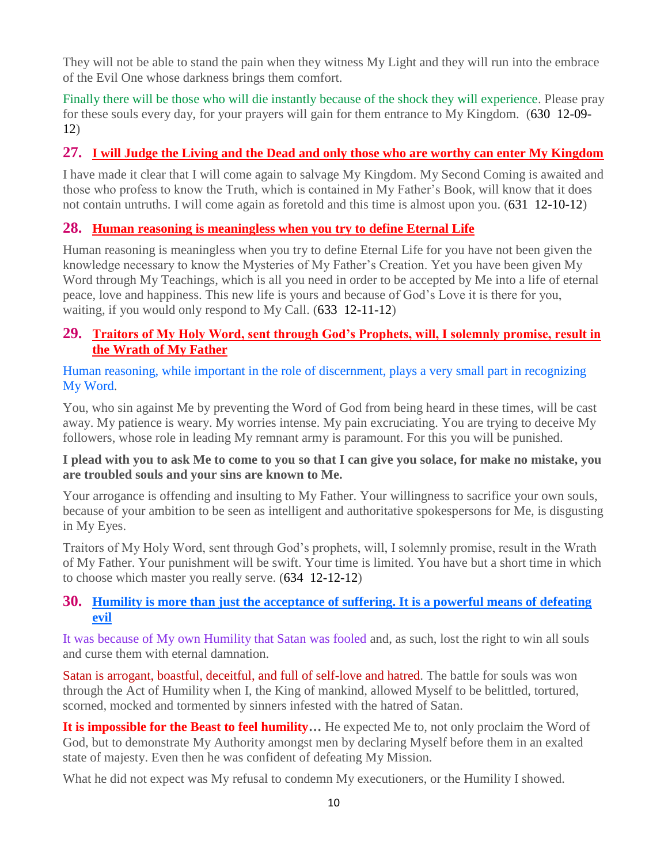They will not be able to stand the pain when they witness My Light and they will run into the embrace of the Evil One whose darkness brings them comfort.

Finally there will be those who will die instantly because of the shock they will experience. Please pray for these souls every day, for your prayers will gain for them entrance to My Kingdom. (630 12-09- 12)

#### **27. [I will Judge the Living and the Dead and only those who are worthy can enter My Kingdom](http://www.thewarningsecondcoming.com/i-will-judge-the-living-and-the-dead-and-only-those-who-are-worthy-can-enter-my-kingdom/)**

I have made it clear that I will come again to salvage My Kingdom. My Second Coming is awaited and those who profess to know the Truth, which is contained in My Father's Book, will know that it does not contain untruths. I will come again as foretold and this time is almost upon you. (631 12-10-12)

#### **28. [Human reasoning is meaningless when you try to define Eternal Life](http://www.thewarningsecondcoming.com/human-reasoning-is-meaningless-when-you-try-to-define-eternal-life/)**

Human reasoning is meaningless when you try to define Eternal Life for you have not been given the knowledge necessary to know the Mysteries of My Father's Creation. Yet you have been given My Word through My Teachings, which is all you need in order to be accepted by Me into a life of eternal peace, love and happiness. This new life is yours and because of God's Love it is there for you, waiting, if you would only respond to My Call. (633 12-11-12)

#### **29. [Traitors of My Holy Word, sent through God's Prophets, will, I solemnly promise, result in](http://www.thewarningsecondcoming.com/traitors-of-my-holy-word-sent-through-gods-prophets-will-i-solemnly-promise-result-in-the-wrath-of-my-father/)  [the Wrath of My Father](http://www.thewarningsecondcoming.com/traitors-of-my-holy-word-sent-through-gods-prophets-will-i-solemnly-promise-result-in-the-wrath-of-my-father/)**

Human reasoning, while important in the role of discernment, plays a very small part in recognizing My Word.

You, who sin against Me by preventing the Word of God from being heard in these times, will be cast away. My patience is weary. My worries intense. My pain excruciating. You are trying to deceive My followers, whose role in leading My remnant army is paramount. For this you will be punished.

#### **I plead with you to ask Me to come to you so that I can give you solace, for make no mistake, you are troubled souls and your sins are known to Me.**

Your arrogance is offending and insulting to My Father. Your willingness to sacrifice your own souls, because of your ambition to be seen as intelligent and authoritative spokespersons for Me, is disgusting in My Eyes.

Traitors of My Holy Word, sent through God's prophets, will, I solemnly promise, result in the Wrath of My Father. Your punishment will be swift. Your time is limited. You have but a short time in which to choose which master you really serve. (634 12-12-12)

#### **30. [Humility is more than just the acceptance of suffering. It is a powerful means of defeating](http://www.thewarningsecondcoming.com/humility-is-more-than-just-the-acceptance-of-suffering-it-is-a-powerful-means-of-defeating-evil/)  [evil](http://www.thewarningsecondcoming.com/humility-is-more-than-just-the-acceptance-of-suffering-it-is-a-powerful-means-of-defeating-evil/)**

It was because of My own Humility that Satan was fooled and, as such, lost the right to win all souls and curse them with eternal damnation.

Satan is arrogant, boastful, deceitful, and full of self-love and hatred. The battle for souls was won through the Act of Humility when I, the King of mankind, allowed Myself to be belittled, tortured, scorned, mocked and tormented by sinners infested with the hatred of Satan.

It is **impossible for the Beast to feel humility...** He expected Me to, not only proclaim the Word of God, but to demonstrate My Authority amongst men by declaring Myself before them in an exalted state of majesty. Even then he was confident of defeating My Mission.

What he did not expect was My refusal to condemn My executioners, or the Humility I showed.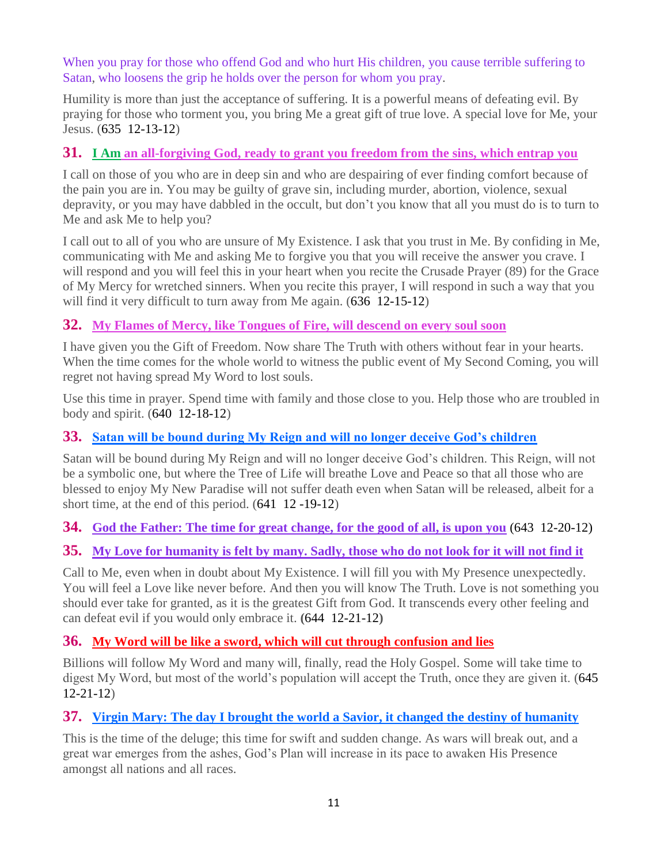When you pray for those who offend God and who hurt His children, you cause terrible suffering to Satan, who loosens the grip he holds over the person for whom you pray.

Humility is more than just the acceptance of suffering. It is a powerful means of defeating evil. By praying for those who torment you, you bring Me a great gift of true love. A special love for Me, your Jesus. (635 12-13-12)

## **31. I Am [an all-forgiving God, ready to grant you freedom from the sins, which entrap you](http://www.thewarningsecondcoming.com/i-am-an-all-forgiving-god-ready-to-grant-you-freedom-from-the-sins-which-entrap-you/)**

I call on those of you who are in deep sin and who are despairing of ever finding comfort because of the pain you are in. You may be guilty of grave sin, including murder, abortion, violence, sexual depravity, or you may have dabbled in the occult, but don't you know that all you must do is to turn to Me and ask Me to help you?

I call out to all of you who are unsure of My Existence. I ask that you trust in Me. By confiding in Me, communicating with Me and asking Me to forgive you that you will receive the answer you crave. I will respond and you will feel this in your heart when you recite the Crusade Prayer (89) for the Grace of My Mercy for wretched sinners. When you recite this prayer, I will respond in such a way that you will find it very difficult to turn away from Me again. (636 12-15-12)

## **32. [My Flames of Mercy, like Tongues of Fire, will descend on every soul soon](http://www.thewarningsecondcoming.com/my-flames-of-mercy-like-tongues-of-fire-will-descend-on-every-soul-soon/)**

I have given you the Gift of Freedom. Now share The Truth with others without fear in your hearts. When the time comes for the whole world to witness the public event of My Second Coming, you will regret not having spread My Word to lost souls.

Use this time in prayer. Spend time with family and those close to you. Help those who are troubled in body and spirit. (640 12-18-12)

## **33. [Satan will be bound during My Reign and will no longer deceive God's children](http://www.thewarningsecondcoming.com/satan-will-be-bound-during-my-reign-and-will-no-longer-deceive-gods-children-2/)**

Satan will be bound during My Reign and will no longer deceive God's children. This Reign, will not be a symbolic one, but where the Tree of Life will breathe Love and Peace so that all those who are blessed to enjoy My New Paradise will not suffer death even when Satan will be released, albeit for a short time, at the end of this period. (641 12 -19-12)

**34. [God the Father: The time for great change, for the good of all, is upon you](http://www.thewarningsecondcoming.com/god-the-father-the-time-for-great-change-for-the-good-of-all-is-upon-you/)** (643 12-20-12)

## **35. [My Love for humanity is felt by many. Sadly, those who do not look for it will not find it](http://www.thewarningsecondcoming.com/my-love-for-humanity-is-felt-by-many-sadly-those-who-do-not-look-for-it-will-not-find-it/)**

Call to Me, even when in doubt about My Existence. I will fill you with My Presence unexpectedly. You will feel a Love like never before. And then you will know The Truth. Love is not something you should ever take for granted, as it is the greatest Gift from God. It transcends every other feeling and can defeat evil if you would only embrace it. **(**644 12-21-12**)**

## **36. [My Word will be like a sword, which will cut through confusion and lies](http://www.thewarningsecondcoming.com/my-word-will-be-like-a-sword-which-will-cut-through-confusion-and-lies/)**

Billions will follow My Word and many will, finally, read the Holy Gospel. Some will take time to digest My Word, but most of the world's population will accept the Truth, once they are given it. (645 12-21-12)

## **37. [Virgin Mary: The day I brought the world a Savior, it changed the destiny of humanity](http://www.thewarningsecondcoming.com/virgin-mary-the-day-i-brought-the-world-a-saviour-it-changed-the-destiny-of-humanity/)**

This is the time of the deluge; this time for swift and sudden change. As wars will break out, and a great war emerges from the ashes, God's Plan will increase in its pace to awaken His Presence amongst all nations and all races.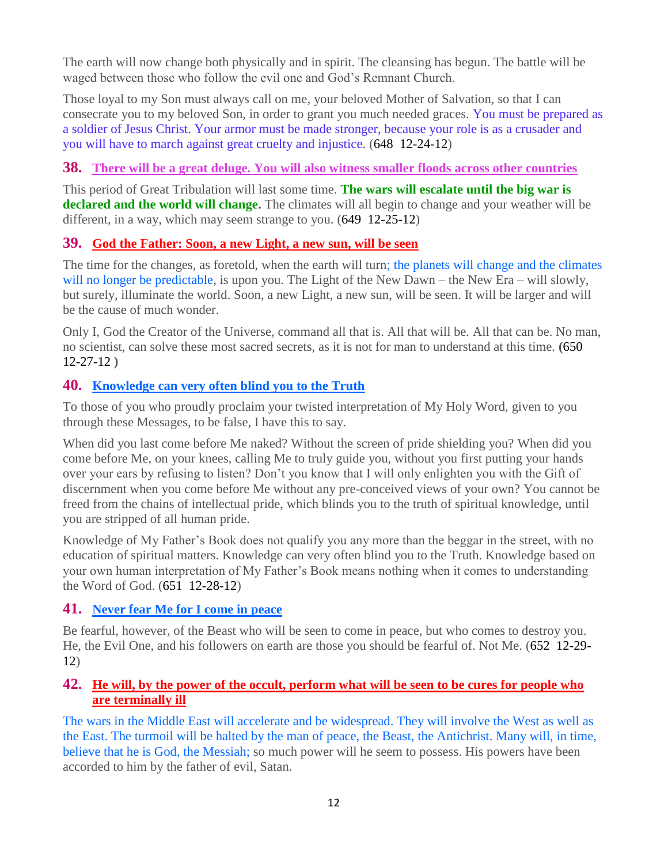The earth will now change both physically and in spirit. The cleansing has begun. The battle will be waged between those who follow the evil one and God's Remnant Church.

Those loyal to my Son must always call on me, your beloved Mother of Salvation, so that I can consecrate you to my beloved Son, in order to grant you much needed graces. You must be prepared as a soldier of Jesus Christ. Your armor must be made stronger, because your role is as a crusader and you will have to march against great cruelty and injustice. (648 12-24-12)

#### **38. [There will be a great deluge. You will also witness smaller floods across other countries](http://www.thewarningsecondcoming.com/there-will-be-a-great-deluge-you-will-also-witness-smaller-floods-across-all-countries/)**

This period of Great Tribulation will last some time. **The wars will escalate until the big war is declared and the world will change.** The climates will all begin to change and your weather will be different, in a way, which may seem strange to you. (649 12-25-12)

## **39. [God the Father: Soon, a new Light, a new sun, will be seen](http://www.thewarningsecondcoming.com/god-the-father-soon-a-new-light-a-new-sun-will-be-seen/)**

The time for the changes, as foretold, when the earth will turn; the planets will change and the climates will no longer be predictable, is upon you. The Light of the New Dawn – the New Era – will slowly, but surely, illuminate the world. Soon, a new Light, a new sun, will be seen. It will be larger and will be the cause of much wonder.

Only I, God the Creator of the Universe, command all that is. All that will be. All that can be. No man, no scientist, can solve these most sacred secrets, as it is not for man to understand at this time. **(**650 12-27-12 **)**

#### **40. [Knowledge can very often blind you to the Truth](http://www.thewarningsecondcoming.com/knowledge-can-very-often-blind-you-to-the-truth/)**

To those of you who proudly proclaim your twisted interpretation of My Holy Word, given to you through these Messages, to be false, I have this to say.

When did you last come before Me naked? Without the screen of pride shielding you? When did you come before Me, on your knees, calling Me to truly guide you, without you first putting your hands over your ears by refusing to listen? Don't you know that I will only enlighten you with the Gift of discernment when you come before Me without any pre-conceived views of your own? You cannot be freed from the chains of intellectual pride, which blinds you to the truth of spiritual knowledge, until you are stripped of all human pride.

Knowledge of My Father's Book does not qualify you any more than the beggar in the street, with no education of spiritual matters. Knowledge can very often blind you to the Truth. Knowledge based on your own human interpretation of My Father's Book means nothing when it comes to understanding the Word of God. (651 12-28-12)

## **41. [Never fear Me for I come in peace](http://www.thewarningsecondcoming.com/never-fear-me-for-i-come-in-peace/)**

Be fearful, however, of the Beast who will be seen to come in peace, but who comes to destroy you. He, the Evil One, and his followers on earth are those you should be fearful of. Not Me. (652 12-29- 12)

#### **42. [He will, by the power of the occult, perform what will be seen to be cures for people who](http://www.thewarningsecondcoming.com/he-will-by-the-power-of-the-occult-perform-what-will-be-seen-to-be-cures-for-people-who-are-terminally-ill/)  [are terminally ill](http://www.thewarningsecondcoming.com/he-will-by-the-power-of-the-occult-perform-what-will-be-seen-to-be-cures-for-people-who-are-terminally-ill/)**

The wars in the Middle East will accelerate and be widespread. They will involve the West as well as the East. The turmoil will be halted by the man of peace, the Beast, the Antichrist. Many will, in time, believe that he is God, the Messiah; so much power will he seem to possess. His powers have been accorded to him by the father of evil, Satan.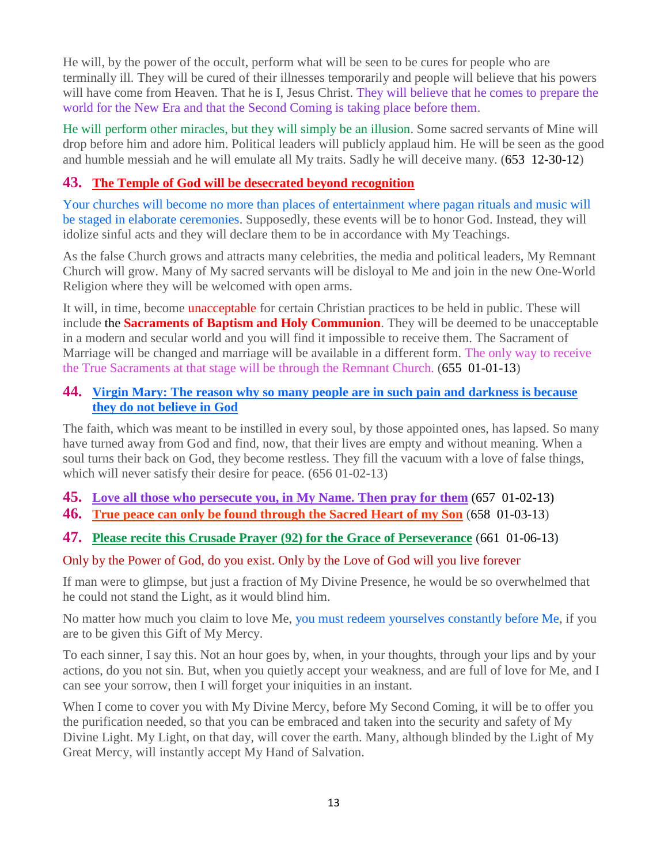He will, by the power of the occult, perform what will be seen to be cures for people who are terminally ill. They will be cured of their illnesses temporarily and people will believe that his powers will have come from Heaven. That he is I, Jesus Christ. They will believe that he comes to prepare the world for the New Era and that the Second Coming is taking place before them.

He will perform other miracles, but they will simply be an illusion. Some sacred servants of Mine will drop before him and adore him. Political leaders will publicly applaud him. He will be seen as the good and humble messiah and he will emulate all My traits. Sadly he will deceive many. (653 12-30-12)

## **43. [The Temple of God will be desecrated beyond recognition](http://www.thewarningsecondcoming.com/the-temple-of-god-will-be-desecrated-beyond-recognition/)**

Your churches will become no more than places of entertainment where pagan rituals and music will be staged in elaborate ceremonies. Supposedly, these events will be to honor God. Instead, they will idolize sinful acts and they will declare them to be in accordance with My Teachings.

As the false Church grows and attracts many celebrities, the media and political leaders, My Remnant Church will grow. Many of My sacred servants will be disloyal to Me and join in the new One-World Religion where they will be welcomed with open arms.

It will, in time, become unacceptable for certain Christian practices to be held in public. These will include the **Sacraments of Baptism and Holy Communion**. They will be deemed to be unacceptable in a modern and secular world and you will find it impossible to receive them. The Sacrament of Marriage will be changed and marriage will be available in a different form. The only way to receive the True Sacraments at that stage will be through the Remnant Church. (655 01-01-13)

#### **44. [Virgin Mary: The reason why so many people are in such pain and darkness is because](http://www.thewarningsecondcoming.com/virgin-mary-the-reason-why-so-many-people-are-in-such-pain-and-darkness-is-because-they-do-not-believe-in-god/)  [they do not believe in God](http://www.thewarningsecondcoming.com/virgin-mary-the-reason-why-so-many-people-are-in-such-pain-and-darkness-is-because-they-do-not-believe-in-god/)**

The faith, which was meant to be instilled in every soul, by those appointed ones, has lapsed. So many have turned away from God and find, now, that their lives are empty and without meaning. When a soul turns their back on God, they become restless. They fill the vacuum with a love of false things, which will never satisfy their desire for peace. (656 01-02-13)

- **45. [Love all those who persecute you, in My Name.](http://www.thewarningsecondcoming.com/love-all-those-who-persecute-you-in-my-name-then-pray-for-them/) Then pray for them** (657 01-02-13)
- **46. True peace can only be found through the Sacred Heart of my Son** (658 01-03-13)

#### **47. [Please recite this Crusade Prayer \(92\) for the Grace of Perseverance](http://www.thewarningsecondcoming.com/please-recite-this-crusade-prayer-92-for-the-grace-of-perseverance/)** (661 01-06-13)

#### [Only by the Power of God, do you exist. Only by the Love of God will you live forever](http://www.thewarningsecondcoming.com/only-by-the-power-of-god-do-you-exist-only-by-the-love-of-god-will-you-live-forever/)

If man were to glimpse, but just a fraction of My Divine Presence, he would be so overwhelmed that he could not stand the Light, as it would blind him.

No matter how much you claim to love Me, you must redeem yourselves constantly before Me, if you are to be given this Gift of My Mercy.

To each sinner, I say this. Not an hour goes by, when, in your thoughts, through your lips and by your actions, do you not sin. But, when you quietly accept your weakness, and are full of love for Me, and I can see your sorrow, then I will forget your iniquities in an instant.

When I come to cover you with My Divine Mercy, before My Second Coming, it will be to offer you the purification needed, so that you can be embraced and taken into the security and safety of My Divine Light. My Light, on that day, will cover the earth. Many, although blinded by the Light of My Great Mercy, will instantly accept My Hand of Salvation.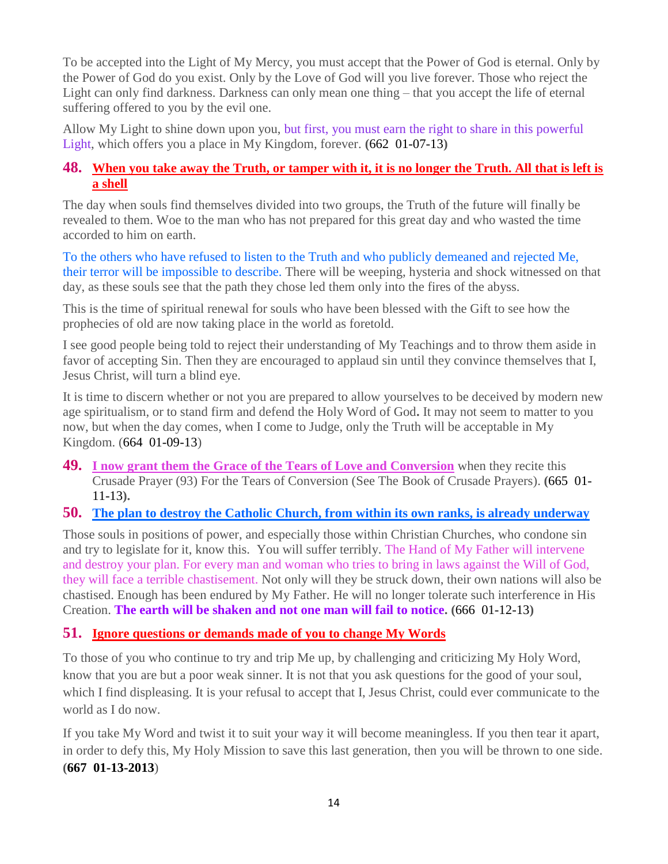To be accepted into the Light of My Mercy, you must accept that the Power of God is eternal. Only by the Power of God do you exist. Only by the Love of God will you live forever. Those who reject the Light can only find darkness. Darkness can only mean one thing – that you accept the life of eternal suffering offered to you by the evil one.

Allow My Light to shine down upon you, but first, you must earn the right to share in this powerful Light, which offers you a place in My Kingdom, forever. **(**662 01-07-13**)**

#### **48. [When you take away the Truth, or tamper with it, it is no longer the Truth. All that is left is](http://www.thewarningsecondcoming.com/when-you-take-away-the-truth-or-tamper-with-it-it-is-no-longer-the-truth-all-that-is-left-is-a-shell/)  [a shell](http://www.thewarningsecondcoming.com/when-you-take-away-the-truth-or-tamper-with-it-it-is-no-longer-the-truth-all-that-is-left-is-a-shell/)**

The day when souls find themselves divided into two groups, the Truth of the future will finally be revealed to them. Woe to the man who has not prepared for this great day and who wasted the time accorded to him on earth.

To the others who have refused to listen to the Truth and who publicly demeaned and rejected Me, their terror will be impossible to describe. There will be weeping, hysteria and shock witnessed on that day, as these souls see that the path they chose led them only into the fires of the abyss.

This is the time of spiritual renewal for souls who have been blessed with the Gift to see how the prophecies of old are now taking place in the world as foretold.

I see good people being told to reject their understanding of My Teachings and to throw them aside in favor of accepting Sin. Then they are encouraged to applaud sin until they convince themselves that I, Jesus Christ, will turn a blind eye.

It is time to discern whether or not you are prepared to allow yourselves to be deceived by modern new age spiritualism, or to stand firm and defend the Holy Word of God**.** It may not seem to matter to you now, but when the day comes, when I come to Judge, only the Truth will be acceptable in My Kingdom. (664 01-09-13)

**49. [I now grant them the Grace of the Tears of Love and Conversion](http://www.thewarningsecondcoming.com/the-pain-of-thorns-is-now-being-felt-by-leaders-in-the-catholic-and-christian-churches/)** when they recite this Crusade Prayer (93) For the Tears of Conversion (See The Book of Crusade Prayers). **(**665 01- 11-13**).**

## **50. [The plan to destroy the Catholic Church, from within its own ranks, is already underway](http://www.thewarningsecondcoming.com/the-plan-to-destroy-the-catholic-church-from-within-its-own-ranks-is-already-underway-2/)**

Those souls in positions of power, and especially those within Christian Churches, who condone sin and try to legislate for it, know this. You will suffer terribly. The Hand of My Father will intervene and destroy your plan. For every man and woman who tries to bring in laws against the Will of God, they will face a terrible chastisement. Not only will they be struck down, their own nations will also be chastised. Enough has been endured by My Father. He will no longer tolerate such interference in His Creation. **The earth will be shaken and not one man will fail to notice. (**666 01-12-13**)**

## **51. [Ignore questions or demands made of you to change My Words](http://www.thewarningsecondcoming.com/ignore-questions-or-demands-made-of-you-to-)**

To those of you who continue to try and trip Me up, by challenging and criticizing My Holy Word, know that you are but a poor weak sinner. It is not that you ask questions for the good of your soul, which I find displeasing. It is your refusal to accept that I, Jesus Christ, could ever communicate to the world as I do now.

If you take My Word and twist it to suit your way it will become meaningless. If you then tear it apart, in order to defy this, My Holy Mission to save this last generation, then you will be thrown to one side. **(667 01-13-2013**)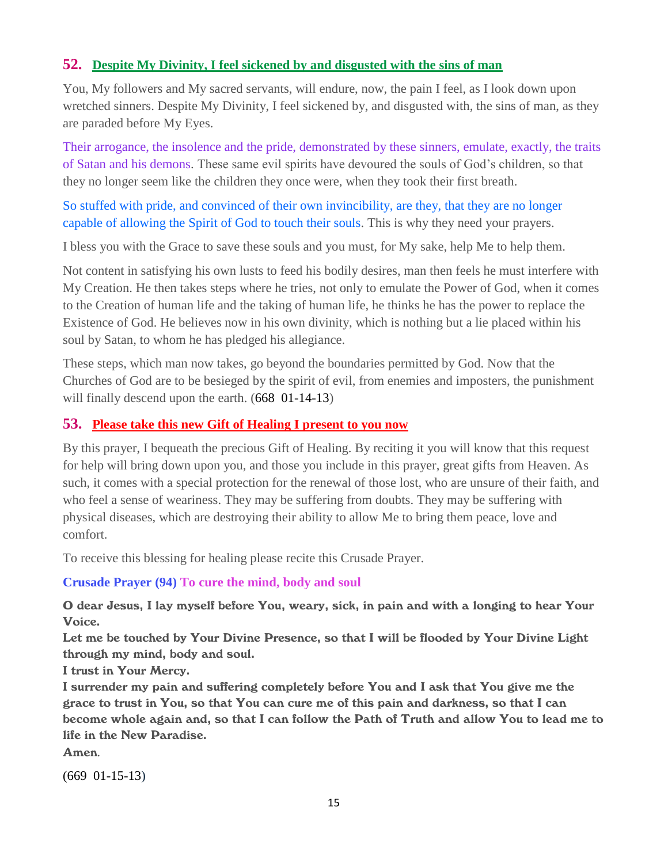## **52. [Despite My Divinity, I feel sickened by and disgusted with the sins of man](http://www.thewarningsecondcoming.com/despite-my-divinity-i-feel-sickened-by-and-)**

You, My followers and My sacred servants, will endure, now, the pain I feel, as I look down upon wretched sinners. Despite My Divinity, I feel sickened by, and disgusted with, the sins of man, as they are paraded before My Eyes.

Their arrogance, the insolence and the pride, demonstrated by these sinners, emulate, exactly, the traits of Satan and his demons. These same evil spirits have devoured the souls of God's children, so that they no longer seem like the children they once were, when they took their first breath.

#### So stuffed with pride, and convinced of their own invincibility, are they, that they are no longer capable of allowing the Spirit of God to touch their souls. This is why they need your prayers.

I bless you with the Grace to save these souls and you must, for My sake, help Me to help them.

Not content in satisfying his own lusts to feed his bodily desires, man then feels he must interfere with My Creation. He then takes steps where he tries, not only to emulate the Power of God, when it comes to the Creation of human life and the taking of human life, he thinks he has the power to replace the Existence of God. He believes now in his own divinity, which is nothing but a lie placed within his soul by Satan, to whom he has pledged his allegiance.

These steps, which man now takes, go beyond the boundaries permitted by God. Now that the Churches of God are to be besieged by the spirit of evil, from enemies and imposters, the punishment will finally descend upon the earth. (668 01-14-13)

#### **53. [Please take this new Gift of Healing I present to you now](http://www.thewarningsecondcoming.com/please-take-this-new-gift-of-healing-i-pres)**

By this prayer, I bequeath the precious Gift of Healing. By reciting it you will know that this request for help will bring down upon you, and those you include in this prayer, great gifts from Heaven. As such, it comes with a special protection for the renewal of those lost, who are unsure of their faith, and who feel a sense of weariness. They may be suffering from doubts. They may be suffering with physical diseases, which are destroying their ability to allow Me to bring them peace, love and comfort.

To receive this blessing for healing please recite this Crusade Prayer.

#### **Crusade Prayer (94) To cure the mind, body and soul**

O dear Jesus, I lay myself before You, weary, sick, in pain and with a longing to hear Your Voice.

Let me be touched by Your Divine Presence, so that I will be flooded by Your Divine Light through my mind, body and soul.

I trust in Your Mercy.

I surrender my pain and suffering completely before You and I ask that You give me the grace to trust in You, so that You can cure me of this pain and darkness, so that I can become whole again and, so that I can follow the Path of Truth and allow You to lead me to life in the New Paradise.

Amen*.*

(669 01-15-13)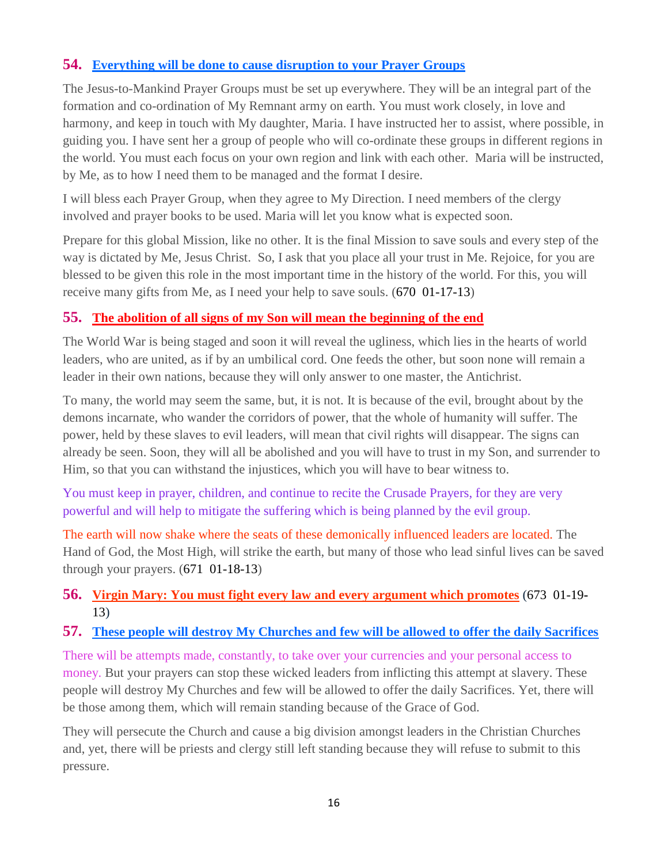## **54. [Everything will be done to cause disruption to your Prayer Groups](http://www.thewarningsecondcoming.com/everything-will-be-done-to-cause-disruption)**

The Jesus-to-Mankind Prayer Groups must be set up everywhere. They will be an integral part of the formation and co-ordination of My Remnant army on earth. You must work closely, in love and harmony, and keep in touch with My daughter, Maria. I have instructed her to assist, where possible, in guiding you. I have sent her a group of people who will co-ordinate these groups in different regions in the world. You must each focus on your own region and link with each other. Maria will be instructed, by Me, as to how I need them to be managed and the format I desire.

I will bless each Prayer Group, when they agree to My Direction. I need members of the clergy involved and prayer books to be used. Maria will let you know what is expected soon.

Prepare for this global Mission, like no other. It is the final Mission to save souls and every step of the way is dictated by Me, Jesus Christ. So, I ask that you place all your trust in Me. Rejoice, for you are blessed to be given this role in the most important time in the history of the world. For this, you will receive many gifts from Me, as I need your help to save souls. (670 01-17-13)

## **55. [The abolition of all signs of my Son will mean the beginning of the end](http://www.thewarningsecondcoming.com/the-abolition-of-all-signs-of-my-son-will-m)**

The World War is being staged and soon it will reveal the ugliness, which lies in the hearts of world leaders, who are united, as if by an umbilical cord. One feeds the other, but soon none will remain a leader in their own nations, because they will only answer to one master, the Antichrist.

To many, the world may seem the same, but, it is not. It is because of the evil, brought about by the demons incarnate, who wander the corridors of power, that the whole of humanity will suffer. The power, held by these slaves to evil leaders, will mean that civil rights will disappear. The signs can already be seen. Soon, they will all be abolished and you will have to trust in my Son, and surrender to Him, so that you can withstand the injustices, which you will have to bear witness to.

You must keep in prayer, children, and continue to recite the Crusade Prayers, for they are very powerful and will help to mitigate the suffering which is being planned by the evil group.

The earth will now shake where the seats of these demonically influenced leaders are located. The Hand of God, the Most High, will strike the earth, but many of those who lead sinful lives can be saved through your prayers. (671 01-18-13)

## **56. Virgin Mary: You must fight every law and every argument which promotes** (673 01-19**-** 13)

## **57. [These people will destroy My Churches and few will be allowed to offer the daily Sacrifices](http://www.thewarningsecondcoming.com/these-people-will-destroy-my-churches-and-f)**

There will be attempts made, constantly, to take over your currencies and your personal access to money. But your prayers can stop these wicked leaders from inflicting this attempt at slavery. These people will destroy My Churches and few will be allowed to offer the daily Sacrifices. Yet, there will be those among them, which will remain standing because of the Grace of God.

They will persecute the Church and cause a big division amongst leaders in the Christian Churches and, yet, there will be priests and clergy still left standing because they will refuse to submit to this pressure.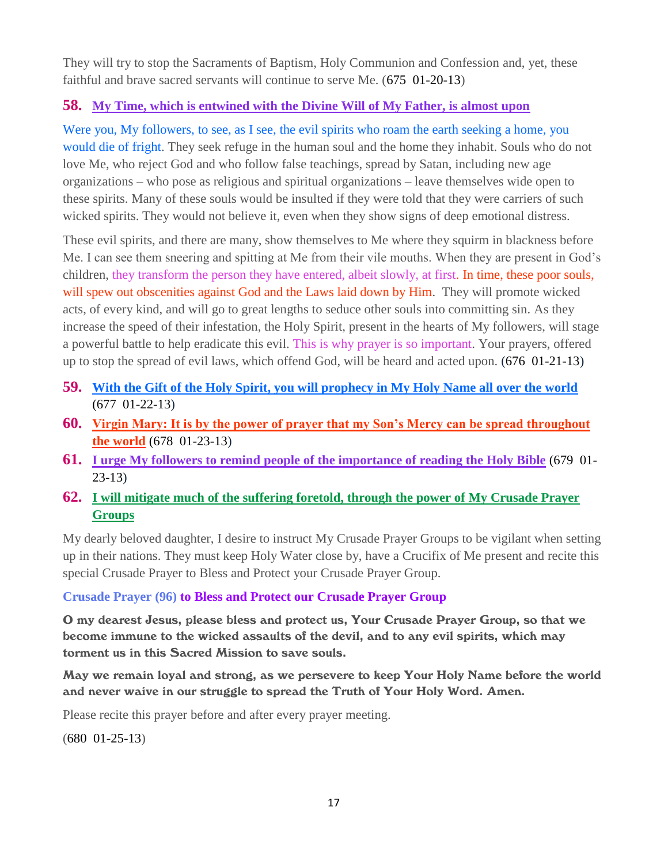They will try to stop the Sacraments of Baptism, Holy Communion and Confession and, yet, these faithful and brave sacred servants will continue to serve Me. (675 01-20-13)

#### **58. My Time, which is entwined with the Divine Will of My Father, is almost upon**

Were you, My followers, to see, as I see, the evil spirits who roam the earth seeking a home, you would die of fright. They seek refuge in the human soul and the home they inhabit. Souls who do not love Me, who reject God and who follow false teachings, spread by Satan, including new age organizations – who pose as religious and spiritual organizations – leave themselves wide open to these spirits. Many of these souls would be insulted if they were told that they were carriers of such wicked spirits. They would not believe it, even when they show signs of deep emotional distress.

These evil spirits, and there are many, show themselves to Me where they squirm in blackness before Me. I can see them sneering and spitting at Me from their vile mouths. When they are present in God's children, they transform the person they have entered, albeit slowly, at first. In time, these poor souls, will spew out obscenities against God and the Laws laid down by Him. They will promote wicked acts, of every kind, and will go to great lengths to seduce other souls into committing sin. As they increase the speed of their infestation, the Holy Spirit, present in the hearts of My followers, will stage a powerful battle to help eradicate this evil. This is why prayer is so important. Your prayers, offered up to stop the spread of evil laws, which offend God, will be heard and acted upon. (676 01-21-13)

- **59. [With the Gift of the Holy Spirit, you will prophecy in My Holy Name all over the world](http://www.thewarningsecondcoming.com/with-the-gift-of-the-holy-spirit-you-will-p)** (677 01-22-13)
- **60. [Virgin Mary: It is by the power of prayer that my Son's Mercy can be spread throughout](http://www.thewarningsecondcoming.com/virgin-mary-it-is-by-the-power-of-prayer-th)  [the world](http://www.thewarningsecondcoming.com/virgin-mary-it-is-by-the-power-of-prayer-th)** (678 01-23-13)
- **61. [I urge My followers to remind people of the importance of reading the Holy Bible](http://www.thewarningsecondcoming.com/i-urge-my-followers-to-remind-people-of-the)** (679 01- 23-13)
- **62. [I will mitigate much of the suffering foretold, through the power of My Crusade Prayer](http://www.thewarningsecondcoming.com/i-will-mitigate-much-of-the-suffering-foret)  [Groups](http://www.thewarningsecondcoming.com/i-will-mitigate-much-of-the-suffering-foret)**

My dearly beloved daughter, I desire to instruct My Crusade Prayer Groups to be vigilant when setting up in their nations. They must keep Holy Water close by, have a Crucifix of Me present and recite this special Crusade Prayer to Bless and Protect your Crusade Prayer Group.

#### **Crusade Prayer (96) to Bless and Protect our Crusade Prayer Group**

O my dearest Jesus, please bless and protect us, Your Crusade Prayer Group, so that we become immune to the wicked assaults of the devil, and to any evil spirits, which may torment us in this Sacred Mission to save souls.

May we remain loyal and strong, as we persevere to keep Your Holy Name before the world and never waive in our struggle to spread the Truth of Your Holy Word. Amen.

Please recite this prayer before and after every prayer meeting.

(680 01-25-13)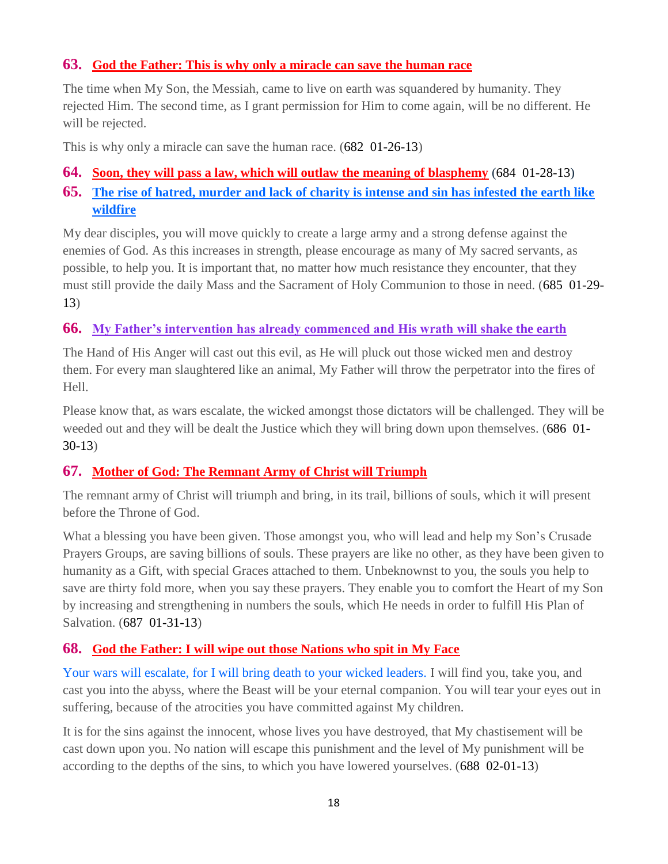## **63. God the Father: This is why [only a miracle can save the human race](http://www.thewarningsecondcoming.com/god-the-father-this-is-why-only-a-miracle-c)**

The time when My Son, the Messiah, came to live on earth was squandered by humanity. They rejected Him. The second time, as I grant permission for Him to come again, will be no different. He will be rejected.

This is why only a miracle can save the human race. (682 01-26-13)

- **64. [Soon, they will pass a law, which will outlaw the meaning of blasphemy](http://www.thewarningsecondcoming.com/soon-they-will-pass-a-law-which-will-outlaw)** (684 01-28-13)
- **65. [The rise of hatred, murder and lack of charity is intense and sin has infested the earth like](http://www.thewarningsecondcoming.com/the-rise-of-hatred-murder-and-lack-of-chari)  [wildfire](http://www.thewarningsecondcoming.com/the-rise-of-hatred-murder-and-lack-of-chari)**

My dear disciples, you will move quickly to create a large army and a strong defense against the enemies of God. As this increases in strength, please encourage as many of My sacred servants, as possible, to help you. It is important that, no matter how much resistance they encounter, that they must still provide the daily Mass and the Sacrament of Holy Communion to those in need. (685 01-29- 13)

## **66. [My Father's intervention has already commenced and His wrath will shake the earth](http://www.thewarningsecondcoming.com/my-fathers-intervention-has-already-commenc)**

The Hand of His Anger will cast out this evil, as He will pluck out those wicked men and destroy them. For every man slaughtered like an animal, My Father will throw the perpetrator into the fires of Hell.

Please know that, as wars escalate, the wicked amongst those dictators will be challenged. They will be weeded out and they will be dealt the Justice which they will bring down upon themselves. (686 01- 30-13)

## **67. [Mother of God: The Remnant Army of Christ will Triumph](http://www.thewarningsecondcoming.com/mother-of-god-the-remnant-army-of-christ-wi)**

The remnant army of Christ will triumph and bring, in its trail, billions of souls, which it will present before the Throne of God.

What a blessing you have been given. Those amongst you, who will lead and help my Son's Crusade Prayers Groups, are saving billions of souls. These prayers are like no other, as they have been given to humanity as a Gift, with special Graces attached to them. Unbeknownst to you, the souls you help to save are thirty fold more, when you say these prayers. They enable you to comfort the Heart of my Son by increasing and strengthening in numbers the souls, which He needs in order to fulfill His Plan of Salvation. (687 01-31-13)

## **68. [God the Father: I will wipe out those Nations who spit in My Face](http://www.thewarningsecondcoming.com/god-the-father-i-will-wipe-out-those-nation)**

Your wars will escalate, for I will bring death to your wicked leaders. I will find you, take you, and cast you into the abyss, where the Beast will be your eternal companion. You will tear your eyes out in suffering, because of the atrocities you have committed against My children.

It is for the sins against the innocent, whose lives you have destroyed, that My chastisement will be cast down upon you. No nation will escape this punishment and the level of My punishment will be according to the depths of the sins, to which you have lowered yourselves. (688 02-01-13)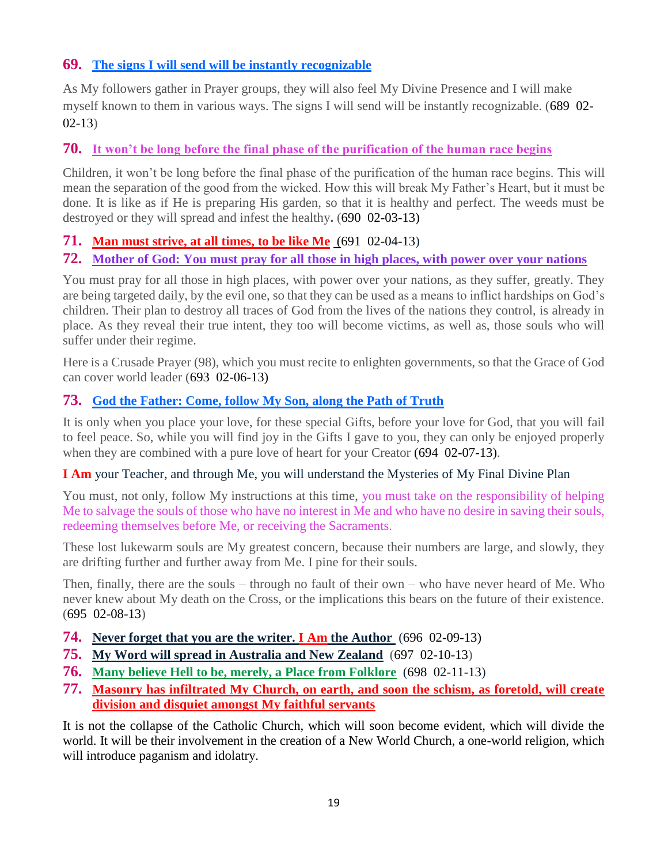## **69. [The signs I will send will be instantly recognizable](http://www.thewarningsecondcoming.com/the-signs-i-will-send-will-be-instantly-rec)**

As My followers gather in Prayer groups, they will also feel My Divine Presence and I will make myself known to them in various ways. The signs I will send will be instantly recognizable. (689 02- 02-13)

## **70. [It won't be long before the final phase of the purification of the human race begins](http://www.thewarningsecondcoming.com/it-wont-be-long-before-the-final-phase-of-t)**

Children, it won't be long before the final phase of the purification of the human race begins. This will mean the separation of the good from the wicked. How this will break My Father's Heart, but it must be done. It is like as if He is preparing His garden, so that it is healthy and perfect. The weeds must be destroyed or they will spread and infest the healthy**.** (690 02-03-13)

## **71. [Man must strive, at all times, to be like Me](http://www.thewarningsecondcoming.com/man-must-strive-at-all-times-to-be-like-me/)** (691 02-04-13)

## **72. [Mother of God: You must pray for all those in high places, with power over your nations](http://www.thewarningsecondcoming.com/mother-of-god-you-must-pray-for-all-those-i)**

You must pray for all those in high places, with power over your nations, as they suffer, greatly. They are being targeted daily, by the evil one, so that they can be used as a means to inflict hardships on God's children. Their plan to destroy all traces of God from the lives of the nations they control, is already in place. As they reveal their true intent, they too will become victims, as well as, those souls who will suffer under their regime.

Here is a Crusade Prayer (98), which you must recite to enlighten governments, so that the Grace of God can cover world leader (693 02-06-13)

## **73. [God the Father: Come, follow My Son, along the Path of Truth](http://www.thewarningsecondcoming.com/god-the-father-come-follow-my-son-along-the)**

It is only when you place your love, for these special Gifts, before your love for God, that you will fail to feel peace. So, while you will find joy in the Gifts I gave to you, they can only be enjoyed properly when they are combined with a pure love of heart for your Creator (694 02-07-13).

#### **I Am** [your Teacher, and through Me, you will understand the Mysteries of My Final Divine Plan](http://www.thewarningsecondcoming.com/i-am-your-teacher-and-through-me-you-will-u)

You must, not only, follow My instructions at this time, you must take on the responsibility of helping Me to salvage the souls of those who have no interest in Me and who have no desire in saving their souls, redeeming themselves before Me, or receiving the Sacraments.

These lost lukewarm souls are My greatest concern, because their numbers are large, and slowly, they are drifting further and further away from Me. I pine for their souls.

Then, finally, there are the souls – through no fault of their own – who have never heard of Me. Who never knew about My death on the Cross, or the implications this bears on the future of their existence. (695 02-08-13)

- **74. [Never forget that you are the writer. I Am](http://www.thewarningsecondcoming.com/never-forget-that-you-are-the-writer-i-am-t) the Author** (696 02-09-13)
- **75. [My Word will spread in Australia and New Zealand](http://www.thewarningsecondcoming.com/my-word-will-spread-in-australia-and-new-ze)** (697 02-10-13)
- **76. [Many believe Hell to be, merely, a Place from Folklore](http://www.thewarningsecondcoming.com/many-believe-hell-to-be-merely-a-place-from)** (698 02-11-13)
- **77. [Masonry has infiltrated My Church, on earth, and soon the schism, as foretold, will create](http://www.thewarningsecondcoming.com/masonry-has-infiltrated-my-church-on-earth-)  [division and disquiet amongst My faithful servants](http://www.thewarningsecondcoming.com/masonry-has-infiltrated-my-church-on-earth-)**

It is not the collapse of the Catholic Church, which will soon become evident, which will divide the world. It will be their involvement in the creation of a New World Church, a one-world religion, which will introduce paganism and idolatry.